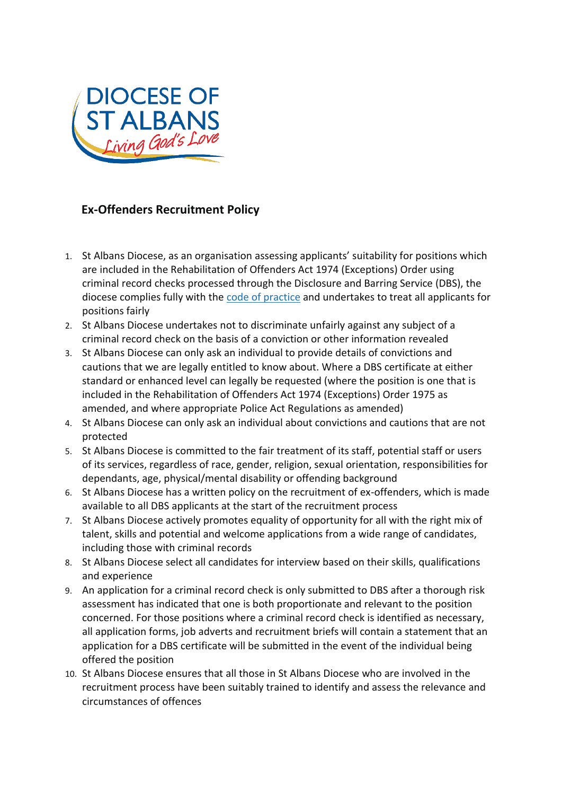

## **Ex-Offenders Recruitment Policy**

- 1. St Albans Diocese, as an organisation assessing applicants' suitability for positions which are included in the Rehabilitation of Offenders Act 1974 (Exceptions) Order using criminal record checks processed through the Disclosure and Barring Service (DBS), the diocese complies fully with th[e](https://www.gov.uk/government/publications/dbs-code-of-practice) [code](https://www.gov.uk/government/publications/dbs-code-of-practice) [of](https://www.gov.uk/government/publications/dbs-code-of-practice) [practice](https://www.gov.uk/government/publications/dbs-code-of-practice) and undertakes to treat all applicants for positions fairly
- 2. St Albans Diocese undertakes not to discriminate unfairly against any subject of a criminal record check on the basis of a conviction or other information revealed
- 3. St Albans Diocese can only ask an individual to provide details of convictions and cautions that we are legally entitled to know about. Where a DBS certificate at either standard or enhanced level can legally be requested (where the position is one that is included in the Rehabilitation of Offenders Act 1974 (Exceptions) Order 1975 as amended, and where appropriate Police Act Regulations as amended)
- 4. St Albans Diocese can only ask an individual about convictions and cautions that are not protected
- 5. St Albans Diocese is committed to the fair treatment of its staff, potential staff or users of its services, regardless of race, gender, religion, sexual orientation, responsibilities for dependants, age, physical/mental disability or offending background
- 6. St Albans Diocese has a written policy on the recruitment of ex-offenders, which is made available to all DBS applicants at the start of the recruitment process
- 7. St Albans Diocese actively promotes equality of opportunity for all with the right mix of talent, skills and potential and welcome applications from a wide range of candidates, including those with criminal records
- 8. St Albans Diocese select all candidates for interview based on their skills, qualifications and experience
- 9. An application for a criminal record check is only submitted to DBS after a thorough risk assessment has indicated that one is both proportionate and relevant to the position concerned. For those positions where a criminal record check is identified as necessary, all application forms, job adverts and recruitment briefs will contain a statement that an application for a DBS certificate will be submitted in the event of the individual being offered the position
- 10. St Albans Diocese ensures that all those in St Albans Diocese who are involved in the recruitment process have been suitably trained to identify and assess the relevance and circumstances of offences